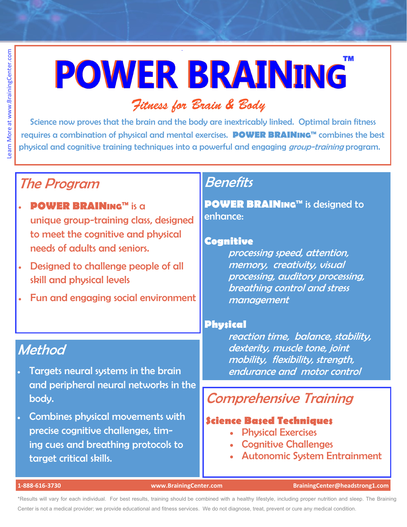# POWER BRAINING

# Fitness for Brain & Body

Science now proves that the brain and the body are inextricably linked. Optimal brain fitness requires a combination of physical and mental exercises. **POWER BRAINING**™ combines the best physical and cognitive training techniques into a powerful and engaging *group-training* program.

# The Program

- **POWER BRAINING**™ is a unique group-training class, designed to meet the cognitive and physical needs of adults and seniors.
- Designed to challenge people of all skill and physical levels
- Fun and engaging social environment

# **Method**

- Targets neural systems in the brain and peripheral neural networks in the body.
- Combines physical movements with precise cognitive challenges, timing cues and breathing protocols to target critical skills.

## **Benefits**

**POWER BRAINING™** is designed to enhance:

#### **Cognitive**

processing speed, attention, memory, creativity, visual processing, auditory processing, breathing control and stress management

### **Physical**

reaction time, balance, stability, dexterity, muscle tone, joint mobility, flexibility, strength, endurance and motor control

# Comprehensive Training

## **Science Based Techniques**

- Physical Exercises
- Cognitive Challenges
- Autonomic System Entrainment

#### **1-888-616-[3730](tel:1-888-616-3730) www.BrainingCenter.com BrainingCenter@headstrong1.com**

\*Results will vary for each individual. For best results, training should be combined with a healthy lifestyle, including proper nutrition and sleep. The Braining Center is not a medical provider; we provide educational and fitness services. We do not diagnose, treat, prevent or cure any medical condition.